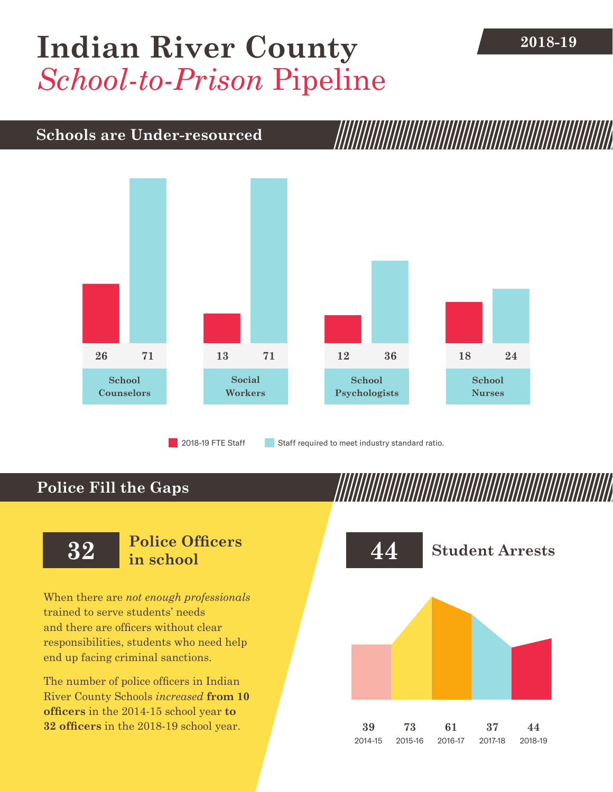## **2018-19 [Indian River County](DBF_County)** *School-to-Prison* Pipeline

#### **Schools are Under-resourced**



2018-19 FTE Staff **Staff required to meet industry standard ratio.** 

### **Police Fill the Gaps**

When there are *not enough professionals* trained to serve students' needs and there are officers without clear responsibilities, students who need help end up facing criminal sanctions.

The number of police officers in [Indian](DBF_County)  [River County](DBF_County) Schools *increased* **from [10](DBF_PO1415) officers** in the 2014-15 school year **to [32](DBF_PO) officers** in the 2018-19 school year.